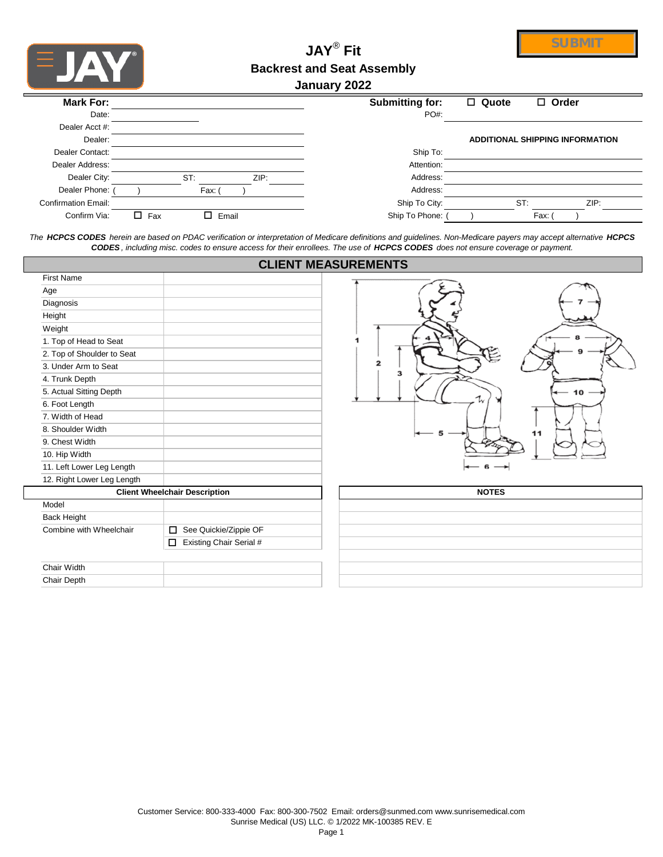

# **JAY**®  **Fit Backrest and Seat Assembly**

**SUBMIT**

### **January 2022**

| Mark For:                  |                           | <b>Submitting for:</b> | $\Box$ Quote | $\Box$ Order                    |
|----------------------------|---------------------------|------------------------|--------------|---------------------------------|
| Date:                      |                           | PO#:                   |              |                                 |
| Dealer Acct #:             |                           |                        |              |                                 |
| Dealer:                    |                           |                        |              | ADDITIONAL SHIPPING INFORMATION |
| Dealer Contact:            |                           | Ship To:               |              |                                 |
| Dealer Address:            |                           | Attention:             |              |                                 |
| Dealer City:               | ST:<br>ZIP:               | Address:               |              |                                 |
| Dealer Phone:              | Fax:                      | Address:               |              |                                 |
| <b>Confirmation Email:</b> |                           | Ship To City:          | ST:          | ZIP:                            |
| Confirm Via:               | П.<br>$\Box$ Fax<br>Email | Ship To Phone:         |              | Fax:                            |

*The HCPCS CODES herein are based on PDAC verification or interpretation of Medicare definitions and guidelines. Non-Medicare payers may accept alternative HCPCS CODES , including misc. codes to ensure access for their enrollees. The use of HCPCS CODES does not ensure coverage or payment.*

|                            |                                      | <b>CLIENT MEASUREMENTS</b> |
|----------------------------|--------------------------------------|----------------------------|
| <b>First Name</b>          |                                      |                            |
| Age                        |                                      |                            |
| Diagnosis                  |                                      |                            |
| Height                     |                                      |                            |
| Weight                     |                                      |                            |
| 1. Top of Head to Seat     |                                      |                            |
| 2. Top of Shoulder to Seat |                                      |                            |
| 3. Under Arm to Seat       |                                      | $\mathbf{z}$<br>3          |
| 4. Trunk Depth             |                                      |                            |
| 5. Actual Sitting Depth    |                                      |                            |
| 6. Foot Length             |                                      |                            |
| 7. Width of Head           |                                      |                            |
| 8. Shoulder Width          |                                      | 11                         |
| 9. Chest Width             |                                      |                            |
| 10. Hip Width              |                                      |                            |
| 11. Left Lower Leg Length  |                                      |                            |
| 12. Right Lower Leg Length |                                      |                            |
|                            | <b>Client Wheelchair Description</b> | <b>NOTES</b>               |
| Model                      |                                      |                            |
| <b>Back Height</b>         |                                      |                            |
| Combine with Wheelchair    | See Quickie/Zippie OF<br>$\Box$      |                            |
|                            | Existing Chair Serial #<br>0         |                            |
|                            |                                      |                            |
| Chair Width                |                                      |                            |
| Chair Depth                |                                      |                            |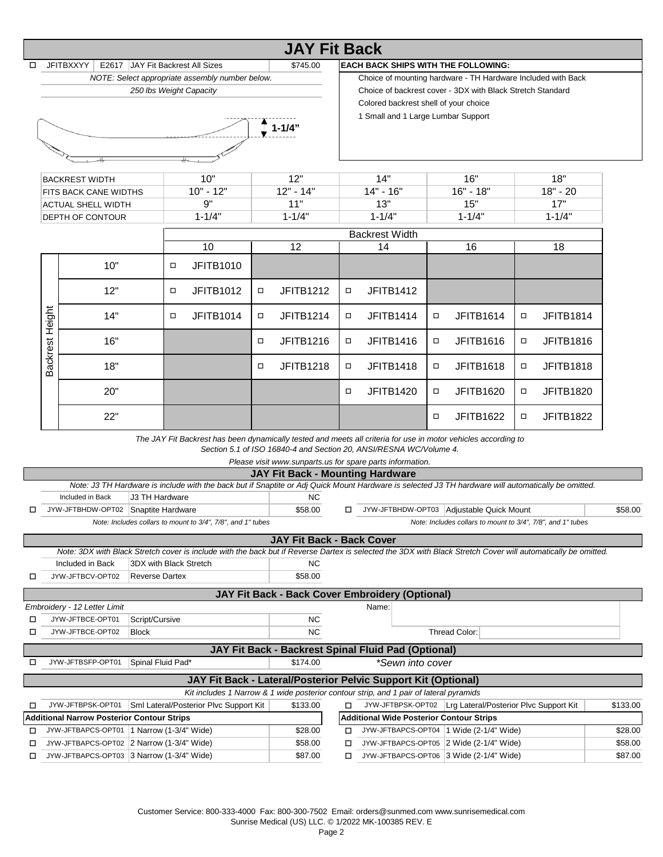|                                                           |                                                                                                                                                               |                                                                                                                |        | <b>JAY Fit Back</b>                                                                    |                                                                                                     |                                                              |        |                                                             |   |                  |          |
|-----------------------------------------------------------|---------------------------------------------------------------------------------------------------------------------------------------------------------------|----------------------------------------------------------------------------------------------------------------|--------|----------------------------------------------------------------------------------------|-----------------------------------------------------------------------------------------------------|--------------------------------------------------------------|--------|-------------------------------------------------------------|---|------------------|----------|
| □                                                         | <b>JFITBXXYY</b>                                                                                                                                              | E2617 JAY Fit Backrest All Sizes                                                                               |        | \$745.00                                                                               |                                                                                                     | <b>EACH BACK SHIPS WITH THE FOLLOWING:</b>                   |        |                                                             |   |                  |          |
|                                                           |                                                                                                                                                               | NOTE: Select appropriate assembly number below.                                                                |        |                                                                                        |                                                                                                     |                                                              |        |                                                             |   |                  |          |
|                                                           |                                                                                                                                                               |                                                                                                                |        |                                                                                        |                                                                                                     | Choice of mounting hardware - TH Hardware Included with Back |        |                                                             |   |                  |          |
|                                                           |                                                                                                                                                               | 250 Ibs Weight Capacity                                                                                        |        |                                                                                        | Choice of backrest cover - 3DX with Black Stretch Standard<br>Colored backrest shell of your choice |                                                              |        |                                                             |   |                  |          |
|                                                           |                                                                                                                                                               |                                                                                                                |        |                                                                                        |                                                                                                     |                                                              |        |                                                             |   |                  |          |
|                                                           |                                                                                                                                                               |                                                                                                                |        |                                                                                        |                                                                                                     | 1 Small and 1 Large Lumbar Support                           |        |                                                             |   |                  |          |
|                                                           |                                                                                                                                                               |                                                                                                                |        | $1 - 1/4"$                                                                             |                                                                                                     |                                                              |        |                                                             |   |                  |          |
|                                                           |                                                                                                                                                               |                                                                                                                |        |                                                                                        |                                                                                                     |                                                              |        |                                                             |   |                  |          |
|                                                           |                                                                                                                                                               |                                                                                                                |        |                                                                                        |                                                                                                     |                                                              |        |                                                             |   |                  |          |
|                                                           |                                                                                                                                                               |                                                                                                                |        |                                                                                        |                                                                                                     |                                                              |        |                                                             |   |                  |          |
|                                                           | <b>BACKREST WIDTH</b>                                                                                                                                         | 10"                                                                                                            |        | 12"                                                                                    |                                                                                                     | 14"                                                          |        | 16"                                                         |   | 18"              |          |
|                                                           | FITS BACK CANE WIDTHS                                                                                                                                         | $10" - 12"$                                                                                                    |        | $12" - 14"$                                                                            |                                                                                                     | $14" - 16"$                                                  |        | $16" - 18"$                                                 |   | $18" - 20$       |          |
|                                                           | ACTUAL SHELL WIDTH                                                                                                                                            | 9"                                                                                                             |        | 11"                                                                                    |                                                                                                     | 13"                                                          |        | 15"                                                         |   | 17"              |          |
|                                                           | <b>DEPTH OF CONTOUR</b>                                                                                                                                       | $1 - 1/4"$                                                                                                     |        | $1 - 1/4"$                                                                             |                                                                                                     | $1 - 1/4"$                                                   |        | $1 - 1/4"$                                                  |   | $1 - 1/4"$       |          |
|                                                           |                                                                                                                                                               |                                                                                                                |        |                                                                                        |                                                                                                     |                                                              |        |                                                             |   |                  |          |
|                                                           |                                                                                                                                                               |                                                                                                                |        |                                                                                        |                                                                                                     | <b>Backrest Width</b>                                        |        |                                                             |   |                  |          |
|                                                           |                                                                                                                                                               | 10                                                                                                             |        | 12                                                                                     |                                                                                                     | 14                                                           |        | 16                                                          |   | 18               |          |
|                                                           |                                                                                                                                                               |                                                                                                                |        |                                                                                        |                                                                                                     |                                                              |        |                                                             |   |                  |          |
|                                                           | 10"                                                                                                                                                           | JFITB1010<br>□                                                                                                 |        |                                                                                        |                                                                                                     |                                                              |        |                                                             |   |                  |          |
|                                                           |                                                                                                                                                               |                                                                                                                |        |                                                                                        |                                                                                                     |                                                              |        |                                                             |   |                  |          |
|                                                           | 12"                                                                                                                                                           | <b>JFITB1012</b><br>□                                                                                          | $\Box$ | <b>JFITB1212</b>                                                                       | $\Box$                                                                                              | <b>JFITB1412</b>                                             |        |                                                             |   |                  |          |
|                                                           |                                                                                                                                                               |                                                                                                                |        |                                                                                        |                                                                                                     |                                                              |        |                                                             |   |                  |          |
|                                                           | 14"                                                                                                                                                           | <b>JFITB1014</b><br>□                                                                                          | σ      | <b>JFITB1214</b>                                                                       | □                                                                                                   | <b>JFITB1414</b>                                             | □      | <b>JFITB1614</b>                                            | □ | <b>JFITB1814</b> |          |
| Height                                                    |                                                                                                                                                               |                                                                                                                |        |                                                                                        |                                                                                                     |                                                              |        |                                                             |   |                  |          |
|                                                           | 16"                                                                                                                                                           |                                                                                                                | $\Box$ | <b>JFITB1216</b>                                                                       | □                                                                                                   | <b>JFITB1416</b>                                             | □      | <b>JFITB1616</b>                                            | □ | <b>JFITB1816</b> |          |
|                                                           |                                                                                                                                                               |                                                                                                                |        |                                                                                        |                                                                                                     |                                                              |        |                                                             |   |                  |          |
| Backrest                                                  | 18"                                                                                                                                                           |                                                                                                                | σ      | <b>JFITB1218</b>                                                                       | □                                                                                                   |                                                              | □      | <b>JFITB1618</b>                                            | □ |                  |          |
|                                                           |                                                                                                                                                               |                                                                                                                |        |                                                                                        |                                                                                                     | <b>JFITB1418</b>                                             |        |                                                             |   | <b>JFITB1818</b> |          |
|                                                           |                                                                                                                                                               |                                                                                                                |        |                                                                                        |                                                                                                     |                                                              |        |                                                             |   |                  |          |
|                                                           | 20"                                                                                                                                                           |                                                                                                                |        |                                                                                        | $\Box$                                                                                              | <b>JFITB1420</b>                                             | $\Box$ | <b>JFITB1620</b>                                            | □ | <b>JFITB1820</b> |          |
|                                                           |                                                                                                                                                               |                                                                                                                |        |                                                                                        |                                                                                                     |                                                              |        |                                                             |   |                  |          |
|                                                           | 22"                                                                                                                                                           |                                                                                                                |        |                                                                                        |                                                                                                     |                                                              | $\Box$ | <b>JFITB1622</b>                                            | σ | <b>JFITB1822</b> |          |
|                                                           |                                                                                                                                                               |                                                                                                                |        |                                                                                        |                                                                                                     |                                                              |        |                                                             |   |                  |          |
|                                                           |                                                                                                                                                               | The JAY Fit Backrest has been dynamically tested and meets all criteria for use in motor vehicles according to |        |                                                                                        |                                                                                                     |                                                              |        |                                                             |   |                  |          |
|                                                           |                                                                                                                                                               |                                                                                                                |        | Section 5.1 of ISO 16840-4 and Section 20, ANSI/RESNA WC/Volume 4.                     |                                                                                                     |                                                              |        |                                                             |   |                  |          |
|                                                           |                                                                                                                                                               |                                                                                                                |        | Please visit www.sunparts.us for spare parts information.                              |                                                                                                     |                                                              |        |                                                             |   |                  |          |
|                                                           |                                                                                                                                                               |                                                                                                                |        | <b>JAY Fit Back - Mounting Hardware</b>                                                |                                                                                                     |                                                              |        |                                                             |   |                  |          |
|                                                           | Note: J3 TH Hardware is include with the back but if Snaptite or Adj Quick Mount Hardware is selected J3 TH hardware will automatically be omitted.           |                                                                                                                |        |                                                                                        |                                                                                                     |                                                              |        |                                                             |   |                  |          |
|                                                           | J3 TH Hardware<br>Included in Back                                                                                                                            |                                                                                                                |        | NC.                                                                                    |                                                                                                     |                                                              |        |                                                             |   |                  |          |
| □                                                         | JYW-JFTBHDW-OPT02 Snaptite Hardware                                                                                                                           |                                                                                                                |        | \$58.00                                                                                | $\Box$                                                                                              | JYW-JFTBHDW-OPT03 Adjustable Quick Mount                     |        |                                                             |   |                  | \$58.00  |
|                                                           |                                                                                                                                                               | Note: Includes collars to mount to 3/4", 7/8", and 1" tubes                                                    |        |                                                                                        |                                                                                                     |                                                              |        | Note: Includes collars to mount to 3/4", 7/8", and 1" tubes |   |                  |          |
|                                                           |                                                                                                                                                               |                                                                                                                |        |                                                                                        |                                                                                                     |                                                              |        |                                                             |   |                  |          |
|                                                           |                                                                                                                                                               |                                                                                                                |        | <b>JAY Fit Back - Back Cover</b>                                                       |                                                                                                     |                                                              |        |                                                             |   |                  |          |
|                                                           | Note: 3DX with Black Stretch cover is include with the back but if Reverse Dartex is selected the 3DX with Black Stretch Cover will automatically be omitted. |                                                                                                                |        |                                                                                        |                                                                                                     |                                                              |        |                                                             |   |                  |          |
|                                                           | Included in Back                                                                                                                                              | 3DX with Black Stretch                                                                                         |        | ΝC                                                                                     |                                                                                                     |                                                              |        |                                                             |   |                  |          |
| □                                                         | JYW-JFTBCV-OPT02<br><b>Reverse Dartex</b>                                                                                                                     |                                                                                                                |        | \$58.00                                                                                |                                                                                                     |                                                              |        |                                                             |   |                  |          |
|                                                           |                                                                                                                                                               |                                                                                                                |        | JAY Fit Back - Back Cover Embroidery (Optional)                                        |                                                                                                     |                                                              |        |                                                             |   |                  |          |
|                                                           | Embroidery - 12 Letter Limit                                                                                                                                  |                                                                                                                |        |                                                                                        |                                                                                                     | Name:                                                        |        |                                                             |   |                  |          |
| □                                                         | JYW-JFTBCE-OPT01<br>Script/Cursive                                                                                                                            |                                                                                                                |        | NC.                                                                                    |                                                                                                     |                                                              |        |                                                             |   |                  |          |
|                                                           | JYW-JFTBCE-OPT02<br>Block                                                                                                                                     |                                                                                                                |        | <b>NC</b>                                                                              |                                                                                                     |                                                              |        | Thread Color:                                               |   |                  |          |
| □                                                         |                                                                                                                                                               |                                                                                                                |        |                                                                                        |                                                                                                     |                                                              |        |                                                             |   |                  |          |
|                                                           |                                                                                                                                                               |                                                                                                                |        | JAY Fit Back - Backrest Spinal Fluid Pad (Optional)                                    |                                                                                                     |                                                              |        |                                                             |   |                  |          |
| □                                                         | JYW-JFTBSFP-OPT01                                                                                                                                             | Spinal Fluid Pad*                                                                                              |        | \$174.00                                                                               |                                                                                                     | *Sewn into cover                                             |        |                                                             |   |                  |          |
|                                                           |                                                                                                                                                               |                                                                                                                |        |                                                                                        |                                                                                                     |                                                              |        |                                                             |   |                  |          |
|                                                           |                                                                                                                                                               |                                                                                                                |        | JAY Fit Back - Lateral/Posterior Pelvic Support Kit (Optional)                         |                                                                                                     |                                                              |        |                                                             |   |                  |          |
|                                                           |                                                                                                                                                               |                                                                                                                |        | Kit includes 1 Narrow & 1 wide posterior contour strip, and 1 pair of lateral pyramids |                                                                                                     |                                                              |        |                                                             |   |                  |          |
| □                                                         | JYW-JFTBPSK-OPT01                                                                                                                                             | Sml Lateral/Posterior Plvc Support Kit                                                                         |        | \$133.00                                                                               | □                                                                                                   |                                                              |        | JYW-JFTBPSK-OPT02   Lrg Lateral/Posterior Plvc Support Kit  |   |                  | \$133.00 |
|                                                           | <b>Additional Narrow Posterior Contour Strips</b>                                                                                                             |                                                                                                                |        |                                                                                        |                                                                                                     | <b>Additional Wide Posterior Contour Strips</b>              |        |                                                             |   |                  |          |
| □                                                         | JYW-JFTBAPCS-OPT01   1 Narrow (1-3/4" Wide)                                                                                                                   |                                                                                                                |        | \$28.00                                                                                |                                                                                                     | □ JYW-JFTBAPCS-OPT04  1 Wide (2-1/4" Wide)                   |        |                                                             |   |                  | \$28.00  |
| \$58.00<br>JYW-JFTBAPCS-OPT02 2 Narrow (1-3/4" Wide)<br>□ |                                                                                                                                                               |                                                                                                                |        |                                                                                        |                                                                                                     | $\Box$ JYW-JFTBAPCS-OPT05 2 Wide (2-1/4" Wide)               |        |                                                             |   |                  | \$58.00  |

Customer Service: 800-333-4000 Fax: 800-300-7502 Email: orders@sunmed.com www.sunrisemedical.com Sunrise Medical (US) LLC. © 1/2022 MK-100385 REV. E

JYW-JFTBAPCS-OPT03 3 Narrow (1-3/4" Wide) \$87.00

 $\Box$  JYW-JFTBAPCS-OPT06  $3$  Wide (2-1/4" Wide) \$87.00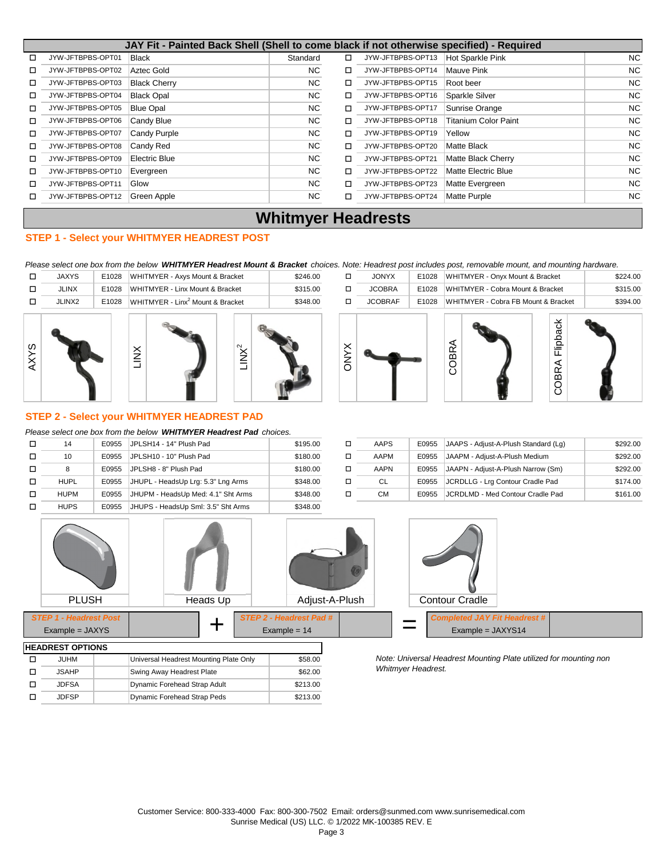|        | JAY Fit - Painted Back Shell (Shell to come black if not otherwise specified) - Required |                     |          |   |                   |                             |           |  |  |  |  |  |  |  |
|--------|------------------------------------------------------------------------------------------|---------------------|----------|---|-------------------|-----------------------------|-----------|--|--|--|--|--|--|--|
| $\Box$ | JYW-JFTBPBS-OPT01                                                                        | <b>Black</b>        | Standard | □ | JYW-JFTBPBS-OPT13 | Hot Sparkle Pink            | <b>NC</b> |  |  |  |  |  |  |  |
| □      | JYW-JFTBPBS-OPT02                                                                        | Aztec Gold          | NC.      | □ | JYW-JFTBPBS-OPT14 | Mauve Pink                  | <b>NC</b> |  |  |  |  |  |  |  |
| ◻      | JYW-JFTBPBS-OPT03                                                                        | <b>Black Cherry</b> | NC.      | □ | JYW-JFTBPBS-OPT15 | Root beer                   | <b>NC</b> |  |  |  |  |  |  |  |
| п      | JYW-JFTBPBS-OPT04                                                                        | <b>Black Opal</b>   | NC       | □ | JYW-JFTBPBS-OPT16 | Sparkle Silver              | <b>NC</b> |  |  |  |  |  |  |  |
| п      | JYW-JFTBPBS-OPT05                                                                        | <b>Blue Opal</b>    | NC.      | п | JYW-JFTBPBS-OPT17 | Sunrise Orange              | <b>NC</b> |  |  |  |  |  |  |  |
| п      | JYW-JFTBPBS-OPT06                                                                        | Candy Blue          | NC.      | п | JYW-JFTBPBS-OPT18 | <b>Titanium Color Paint</b> | <b>NC</b> |  |  |  |  |  |  |  |
| □      | JYW-JFTBPBS-OPT07                                                                        | Candy Purple        | NC.      | □ | JYW-JFTBPBS-OPT19 | Yellow                      | <b>NC</b> |  |  |  |  |  |  |  |
| п      | JYW-JFTBPBS-OPT08                                                                        | Candy Red           | NC.      | □ | JYW-JFTBPBS-OPT20 | <b>Matte Black</b>          | <b>NC</b> |  |  |  |  |  |  |  |
| п      | JYW-JFTBPBS-OPT09                                                                        | Electric Blue       | NC.      | п | JYW-JFTBPBS-OPT21 | <b>Matte Black Cherry</b>   | <b>NC</b> |  |  |  |  |  |  |  |
| п      | JYW-JFTBPBS-OPT10                                                                        | Evergreen           | NC.      | п | JYW-JFTBPBS-OPT22 | <b>Matte Electric Blue</b>  | <b>NC</b> |  |  |  |  |  |  |  |
| п      | JYW-JFTBPBS-OPT11                                                                        | Glow                | NC.      | □ | JYW-JFTBPBS-OPT23 | Matte Evergreen             | <b>NC</b> |  |  |  |  |  |  |  |
| п      | JYW-JFTBPBS-OPT12                                                                        | Green Apple         | NC.      | п | JYW-JFTBPBS-OPT24 | <b>Matte Purple</b>         | <b>NC</b> |  |  |  |  |  |  |  |

## **Whitmyer Headrests**

#### **STEP 1 - Select your WHITMYER HEADREST POST**

*Please select one box from the below WHITMYER Headrest Mount & Bracket choices. Note: Headrest post includes post, removable mount, and mounting hardware.*



|   | 14          | E0955 | IJPLSH14 - 14" Plush Pad           | \$195.00 |   | AAPS      | E0955 |
|---|-------------|-------|------------------------------------|----------|---|-----------|-------|
| п | 10          | E0955 | JPLSH10 - 10" Plush Pad            | \$180.00 |   | AAPM      | E0955 |
|   | 8           | E0955 | JPLSH8 - 8" Plush Pad              | \$180.00 | п | AAPN      | E0955 |
|   | <b>HUPL</b> | E0955 | JHUPL - HeadsUp Lrg: 5.3" Lng Arms | \$348.00 | п | CL        | E0955 |
| п | <b>HUPM</b> | E0955 | JHUPM - HeadsUp Med: 4.1" Sht Arms | \$348.00 |   | <b>CM</b> | E0955 |
|   | <b>HUPS</b> | E0955 | JHUPS - HeadsUp Sml: 3.5" Sht Arms | \$348.00 |   |           |       |

| 14          | E0955 | JPLSH14 - 14" Plush Pad            | \$195.00 | AAPS        | E0955 | JAAPS - Adjust-A-Plush Standard (Lg)   | \$292.00 |
|-------------|-------|------------------------------------|----------|-------------|-------|----------------------------------------|----------|
| 10          | E0955 | JPLSH10 - 10" Plush Pad            | \$180.00 | AAPM        | E0955 | JAAPM - Adjust-A-Plush Medium          | \$292.00 |
|             | E0955 | JPLSH8 - 8" Plush Pad              | \$180.00 | <b>AAPN</b> | E0955 | JAAPN - Adjust-A-Plush Narrow (Sm)     | \$292.00 |
| <b>HUPL</b> | E0955 | JHUPL - HeadsUp Lrg: 5.3" Lng Arms | \$348.00 |             |       | E0955 JCRDLLG - Lrg Contour Cradle Pad | \$174.00 |
| HUPM        | E0955 | JHUPM - HeadsUp Med: 4.1" Sht Arms | \$348.00 | CМ          |       | E0955 JCRDLMD - Med Contour Cradle Pad | \$161.00 |



| טופוסו וס ושבושהבו |                                        |          |  |  |  |  |  |  |
|--------------------|----------------------------------------|----------|--|--|--|--|--|--|
| JUHM               | Universal Headrest Mounting Plate Only | \$58.00  |  |  |  |  |  |  |
| <b>JSAHP</b>       | Swing Away Headrest Plate              | \$62.00  |  |  |  |  |  |  |
| JDFSA              | Dynamic Forehead Strap Adult           | \$213.00 |  |  |  |  |  |  |
| <b>JDFSP</b>       | Dynamic Forehead Strap Peds            | \$213.00 |  |  |  |  |  |  |

Note: Universal Headrest Mounting Plate utilized for mounting non **Whitmyer Headrest.**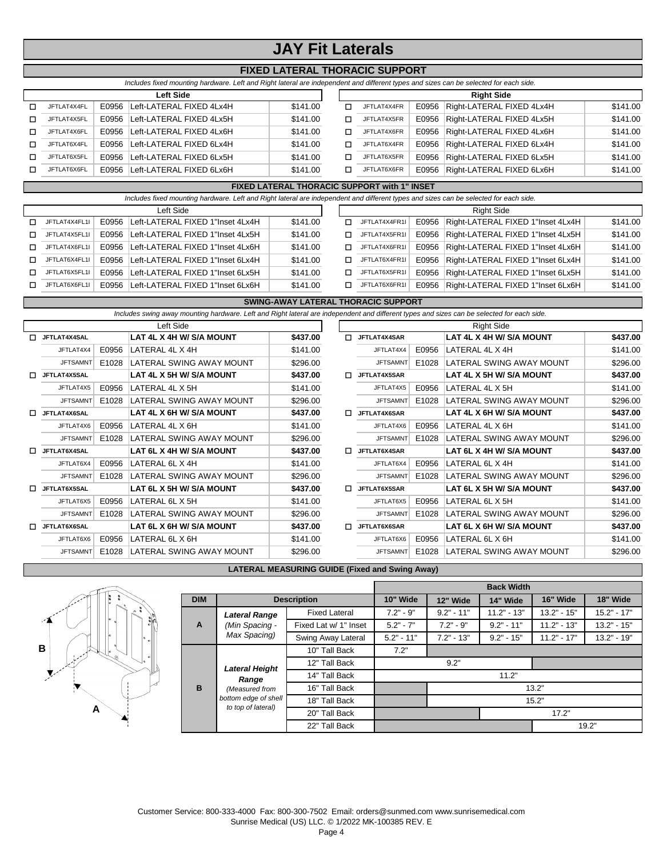## **JAY Fit Laterals**

### **FIXED LATERAL THORACIC SUPPORT**

| Includes fixed mounting hardware. Left and Right lateral are independent and different types and sizes can be selected for each side. |
|---------------------------------------------------------------------------------------------------------------------------------------|
|---------------------------------------------------------------------------------------------------------------------------------------|

|             |       | <b>Left Side</b>         |          |    |             | <b>Right Side</b> |                                 |          |
|-------------|-------|--------------------------|----------|----|-------------|-------------------|---------------------------------|----------|
| JFTLAT4X4FL | E0956 | Left-LATERAL FIXED 4Lx4H | \$141.00 |    | JFTLAT4X4FR |                   | E0956 Right-LATERAL FIXED 4Lx4H | \$141.00 |
| JFTLAT4X5FL | E0956 | Left-LATERAL FIXED 4Lx5H | \$141.00 |    | JFTLAT4X5FR |                   | E0956 Right-LATERAL FIXED 4Lx5H | \$141.00 |
| JFTLAT4X6FL | E0956 | Left-LATERAL FIXED 4Lx6H | \$141.00 |    | JFTLAT4X6FR |                   | E0956 Right-LATERAL FIXED 4Lx6H | \$141.00 |
| JFTLAT6X4FL | E0956 | Left-LATERAL FIXED 6Lx4H | \$141.00 | п. | JFTLAT6X4FR | E0956             | Right-LATERAL FIXED 6Lx4H       | \$141.00 |
| JFTLAT6X5FL | E0956 | Left-LATERAL FIXED 6Lx5H | \$141.00 |    | JFTLAT6X5FR |                   | E0956 Right-LATERAL FIXED 6Lx5H | \$141.00 |
| JFTLAT6X6FL | E0956 | Left-LATERAL FIXED 6Lx6H | \$141.00 |    | JFTLAT6X6FR |                   | E0956 Right-LATERAL FIXED 6Lx6H | \$141.00 |

#### **FIXED LATERAL THORACIC SUPPORT with 1" INSET**

|    | Includes fixed mounting hardware. Left and Right lateral are independent and different types and sizes can be selected for each side. |       |                                  |          |  |    |               |  |                                         |          |  |  |
|----|---------------------------------------------------------------------------------------------------------------------------------------|-------|----------------------------------|----------|--|----|---------------|--|-----------------------------------------|----------|--|--|
|    | Left Side                                                                                                                             |       |                                  |          |  |    |               |  |                                         |          |  |  |
|    | JFTLAT4X4FL1I                                                                                                                         | E0956 | Left-LATERAL FIXED 1"Inset 4Lx4H | \$141.00 |  | п. | JFTLAT4X4FR1I |  | E0956 Right-LATERAL FIXED 1"Inset 4Lx4H | \$141.00 |  |  |
| п. | JFTLAT4X5FL1I                                                                                                                         | F0956 | Left-LATERAL FIXED 1"Inset 4Lx5H | \$141.00 |  | п. | JFTLAT4X5FR1I |  | E0956 Right-LATERAL FIXED 1"Inset 4Lx5H | \$141.00 |  |  |
| п. | JFTLAT4X6FL1I                                                                                                                         | E0956 | Left-LATERAL FIXED 1"Inset 4Lx6H | \$141.00 |  | п. | JFTLAT4X6FR1I |  | E0956 Right-LATERAL FIXED 1"Inset 4Lx6H | \$141.00 |  |  |
| п. | JFTLAT6X4FL1I                                                                                                                         | F0956 | Left-LATERAL FIXED 1"Inset 6Lx4H | \$141.00 |  | п. | JFTLAT6X4FR1I |  | E0956 Right-LATERAL FIXED 1"Inset 6Lx4H | \$141.00 |  |  |
| п. | JFTLAT6X5FL1I                                                                                                                         | F0956 | Left-LATERAL FIXED 1"Inset 6Lx5H | \$141.00 |  | П. | JFTLAT6X5FR1I |  | E0956 Right-LATERAL FIXED 1"Inset 6Lx5H | \$141.00 |  |  |
| п. | JFTLAT6X6FL1I                                                                                                                         | E0956 | Left-LATERAL FIXED 1"Inset 6Lx6H | \$141.00 |  | П. | JFTLAT6X6FR1I |  | E0956 Right-LATERAL FIXED 1"Inset 6Lx6H | \$141.00 |  |  |

**SWING-AWAY LATERAL THORACIC SUPPORT**

|                   | <b>SWING-AWAY LATERAL THORACIC SUPPORT</b> |       |                                                                                                                                            |          |    |                 |       |                          |          |  |  |  |
|-------------------|--------------------------------------------|-------|--------------------------------------------------------------------------------------------------------------------------------------------|----------|----|-----------------|-------|--------------------------|----------|--|--|--|
|                   |                                            |       | Includes swing away mounting hardware. Left and Right lateral are independent and different types and sizes can be selected for each side. |          |    |                 |       |                          |          |  |  |  |
|                   |                                            |       | Left Side                                                                                                                                  |          |    |                 |       | <b>Right Side</b>        |          |  |  |  |
| п                 | JFTLAT4X4SAL                               |       | LAT 4L X 4H W/ S/A MOUNT                                                                                                                   | \$437.00 | п  | JFTLAT4X4SAR    |       | LAT 4L X 4H W/ S/A MOUNT | \$437.00 |  |  |  |
|                   | JFTLAT4X4                                  | E0956 | LATERAL 4L X 4H                                                                                                                            | \$141.00 |    | JFTLAT4X4       | E0956 | LATERAL 4L X 4H          | \$141.00 |  |  |  |
|                   | <b>JFTSAMNT</b>                            | E1028 | LATERAL SWING AWAY MOUNT                                                                                                                   | \$296.00 |    | <b>JFTSAMNT</b> | E1028 | LATERAL SWING AWAY MOUNT | \$296.00 |  |  |  |
| п.                | JFTLAT4X5SAL                               |       | LAT 4L X 5H W/ S/A MOUNT                                                                                                                   | \$437.00 | п. | JFTLAT4X5SAR    |       | LAT 4L X 5H W/ S/A MOUNT | \$437.00 |  |  |  |
|                   | JFTLAT4X5                                  | E0956 | LATERAL 4L X 5H                                                                                                                            | \$141.00 |    | JFTLAT4X5       | E0956 | LATERAL 4L X 5H          | \$141.00 |  |  |  |
|                   | <b>JFTSAMNT</b>                            | E1028 | LATERAL SWING AWAY MOUNT                                                                                                                   | \$296.00 |    | <b>JFTSAMNT</b> | E1028 | LATERAL SWING AWAY MOUNT | \$296.00 |  |  |  |
| JFTLAT4X6SAL<br>п |                                            |       | LAT 4L X 6H W/ S/A MOUNT                                                                                                                   | \$437.00 | п  | JFTLAT4X6SAR    |       | LAT 4L X 6H W/ S/A MOUNT | \$437.00 |  |  |  |
|                   | JFTLAT4X6                                  | E0956 | LATERAL 4L X 6H                                                                                                                            | \$141.00 |    | JFTLAT4X6       | E0956 | LATERAL 4L X 6H          | \$141.00 |  |  |  |
|                   | <b>JFTSAMNT</b>                            | E1028 | LATERAL SWING AWAY MOUNT                                                                                                                   | \$296.00 |    | <b>JFTSAMNT</b> | E1028 | LATERAL SWING AWAY MOUNT | \$296.00 |  |  |  |
| П                 | JFTLAT6X4SAL                               |       | LAT 6L X 4H W/ S/A MOUNT                                                                                                                   | \$437.00 | п  | JFTLAT6X4SAR    |       | LAT 6L X 4H W/ S/A MOUNT | \$437.00 |  |  |  |
|                   | JFTLAT6X4                                  | E0956 | LATERAL 6L X 4H                                                                                                                            | \$141.00 |    | JFTLAT6X4       | E0956 | LATERAL 6L X 4H          | \$141.00 |  |  |  |
|                   | <b>JFTSAMNT</b>                            | E1028 | LATERAL SWING AWAY MOUNT                                                                                                                   | \$296.00 |    | <b>JFTSAMNT</b> | E1028 | LATERAL SWING AWAY MOUNT | \$296.00 |  |  |  |
| п.                | JFTLAT6X5SAL                               |       | LAT 6L X 5H W/ S/A MOUNT                                                                                                                   | \$437.00 | □  | JFTLAT6X5SAR    |       | LAT 6L X 5H W/ S/A MOUNT | \$437.00 |  |  |  |
|                   | JFTLAT6X5                                  | E0956 | LATERAL 6L X 5H                                                                                                                            | \$141.00 |    | JFTLAT6X5       | E0956 | LATERAL 6L X 5H          | \$141.00 |  |  |  |
|                   | <b>JFTSAMNT</b>                            | E1028 | LATERAL SWING AWAY MOUNT                                                                                                                   | \$296.00 |    | <b>JFTSAMNT</b> | E1028 | LATERAL SWING AWAY MOUNT | \$296.00 |  |  |  |
| п                 | JFTLAT6X6SAL                               |       | LAT 6L X 6H W/ S/A MOUNT                                                                                                                   | \$437.00 | п  | JFTLAT6X6SAR    |       | LAT 6L X 6H W/ S/A MOUNT | \$437.00 |  |  |  |
|                   | JFTLAT6X6                                  | E0956 | LATERAL 6L X 6H                                                                                                                            | \$141.00 |    | JFTLAT6X6       | E0956 | LATERAL 6L X 6H          | \$141.00 |  |  |  |
|                   | <b>JFTSAMNT</b>                            | E1028 | LATERAL SWING AWAY MOUNT                                                                                                                   | \$296.00 |    | <b>JFTSAMNT</b> | E1028 | LATERAL SWING AWAY MOUNT | \$296.00 |  |  |  |

#### **LATERAL MEASURING GUIDE (Fixed and Swing Away)**



|              |                       |                       | <b>Back Width</b> |              |               |               |               |  |  |  |  |
|--------------|-----------------------|-----------------------|-------------------|--------------|---------------|---------------|---------------|--|--|--|--|
| <b>DIM</b>   |                       | <b>Description</b>    | 10" Wide          | 12" Wide     | 14" Wide      | 16" Wide      | 18" Wide      |  |  |  |  |
|              | <b>Lateral Range</b>  | <b>Fixed Lateral</b>  | $7.2" - 9"$       | $9.2" - 11"$ | $11.2" - 13"$ | $13.2" - 15"$ | $15.2" - 17"$ |  |  |  |  |
| $\mathbf{A}$ | (Min Spacing -        | Fixed Lat w/ 1" Inset | $5.2" - 7"$       | $7.2" - 9"$  | $9.2" - 11"$  | $11.2" - 13"$ | $13.2" - 15"$ |  |  |  |  |
|              | Max Spacing)          | Swing Away Lateral    | $5.2" - 11"$      | $7.2" - 13"$ | $9.2" - 15"$  | $11.2" - 17"$ | $13.2" - 19"$ |  |  |  |  |
|              |                       | 10" Tall Back         | 7.2"              |              |               |               |               |  |  |  |  |
|              | <b>Lateral Height</b> | 12" Tall Back         |                   | 9.2"         |               |               |               |  |  |  |  |
|              | Range                 | 14" Tall Back         | 11.2"             |              |               |               |               |  |  |  |  |
| B            | (Measured from        | 16" Tall Back         | 13.2"             |              |               |               |               |  |  |  |  |
|              | bottom edge of shell  | 18" Tall Back         | 15.2"             |              |               |               |               |  |  |  |  |
|              | to top of lateral)    | 20" Tall Back         |                   |              | 17.2"         |               |               |  |  |  |  |
|              |                       | 22" Tall Back         |                   |              |               |               | 19.2"         |  |  |  |  |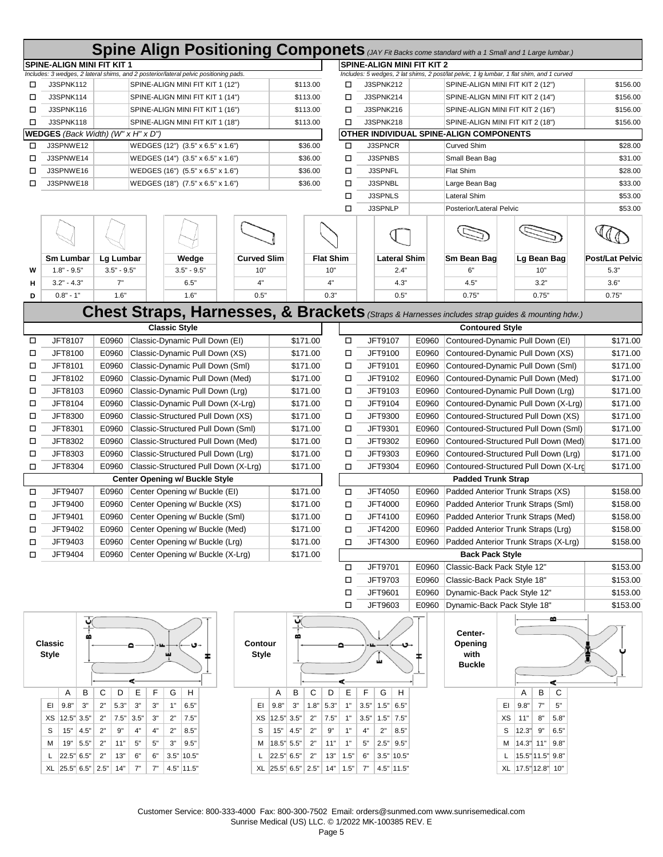|                                    |                                   |                                  |                                                                                       |                    |                    |              |                  |                |                            |                                         |                                  | Spine Align Positioning Componets (JAY Fit Backs come standard with a 1 Small and 1 Large lumbar.) |                        |
|------------------------------------|-----------------------------------|----------------------------------|---------------------------------------------------------------------------------------|--------------------|--------------------|--------------|------------------|----------------|----------------------------|-----------------------------------------|----------------------------------|----------------------------------------------------------------------------------------------------|------------------------|
|                                    | <b>SPINE-ALIGN MINI FIT KIT 1</b> |                                  |                                                                                       |                    |                    |              |                  |                | SPINE-ALIGN MINI FIT KIT 2 |                                         |                                  |                                                                                                    |                        |
|                                    |                                   |                                  | Includes: 3 wedges, 2 lateral shims, and 2 posterior/lateral pelvic positioning pads. |                    |                    |              |                  |                |                            |                                         |                                  | Includes: 5 wedges, 2 lat shims, 2 post/lat pelvic, 1 lg lumbar, 1 flat shim, and 1 curved         |                        |
| □                                  | J3SPNK112                         | SPINE-ALIGN MINI FIT KIT 1 (12") |                                                                                       |                    | \$113.00           |              | □                |                | J3SPNK212                  |                                         | SPINE-ALIGN MINI FIT KIT 2 (12") | \$156.00                                                                                           |                        |
| □                                  | J3SPNK114                         |                                  | SPINE-ALIGN MINI FIT KIT 1 (14")                                                      |                    |                    | \$113.00     | □                |                | J3SPNK214                  |                                         |                                  | SPINE-ALIGN MINI FIT KIT 2 (14")                                                                   | \$156.00               |
| □                                  | J3SPNK116                         | SPINE-ALIGN MINI FIT KIT 1 (16") |                                                                                       |                    | \$113.00           |              | □                | J3SPNK216      |                            |                                         | SPINE-ALIGN MINI FIT KIT 2 (16") | \$156.00                                                                                           |                        |
| □                                  | J3SPNK118                         | SPINE-ALIGN MINI FIT KIT 1 (18") |                                                                                       |                    | \$113.00           |              | □                |                | J3SPNK218                  | SPINE-ALIGN MINI FIT KIT 2 (18")        |                                  |                                                                                                    | \$156.00               |
| WEDGES (Back Width) (W" x H" x D") |                                   |                                  |                                                                                       |                    |                    |              |                  |                |                            | OTHER INDIVIDUAL SPINE-ALIGN COMPONENTS |                                  |                                                                                                    |                        |
| □                                  | J3SPNWE12                         |                                  | WEDGES (12") (3.5" x 6.5" x 1.6")                                                     |                    |                    | \$36.00      | □                |                | <b>J3SPNCR</b>             |                                         | <b>Curved Shim</b>               |                                                                                                    | \$28.00                |
| □                                  | J3SPNWE14                         |                                  | WEDGES (14") (3.5" x 6.5" x 1.6")                                                     |                    | \$36.00            |              | □                | J3SPNBS        |                            | Small Bean Bag                          |                                  |                                                                                                    | \$31.00                |
| □                                  | J3SPNWE16                         |                                  | WEDGES (16") (5.5" x 6.5" x 1.6")                                                     |                    |                    | \$36.00      | □                | <b>J3SPNFL</b> |                            |                                         | Flat Shim                        |                                                                                                    | \$28.00                |
| □                                  | J3SPNWE18                         |                                  | WEDGES (18") (7.5" x 6.5" x 1.6")                                                     |                    |                    | \$36.00      | □                |                | J3SPNBL                    |                                         | Large Bean Bag                   | \$33.00                                                                                            |                        |
|                                    |                                   |                                  |                                                                                       |                    |                    |              | □                |                | <b>J3SPNLS</b>             |                                         | Lateral Shim                     |                                                                                                    | \$53.00                |
|                                    |                                   |                                  |                                                                                       |                    |                    |              | □                |                | J3SPNLP                    |                                         | Posterior/Lateral Pelvic         |                                                                                                    | \$53.00                |
|                                    |                                   |                                  |                                                                                       |                    |                    |              |                  |                |                            |                                         |                                  |                                                                                                    |                        |
|                                    |                                   |                                  |                                                                                       |                    |                    |              |                  |                |                            |                                         |                                  |                                                                                                    |                        |
|                                    |                                   |                                  |                                                                                       |                    |                    |              |                  |                |                            |                                         |                                  |                                                                                                    |                        |
|                                    | <b>Sm Lumbar</b>                  | Lg Lumbar                        | Wedge                                                                                 | <b>Curved Slim</b> |                    |              | <b>Flat Shim</b> |                | <b>Lateral Shim</b>        |                                         | Sm Bean Bag                      | Lg Bean Bag                                                                                        | <b>Post/Lat Pelvic</b> |
| w                                  | $1.8" - 9.5"$                     | $3.5" - 9.5"$                    | $3.5" - 9.5"$                                                                         | 10"                |                    | 10"          |                  |                | 2.4"                       |                                         | 6"                               | 10"                                                                                                | 5.3"                   |
| н                                  | $3.2" - 4.3"$                     | 7"                               | 6.5"                                                                                  | 4"                 |                    |              | 4"               |                | 4.3"                       |                                         | 4.5"                             | 3.2"                                                                                               | 3.6"                   |
| D                                  | $0.8" - 1"$                       | 1.6"                             | 1.6"                                                                                  | 0.5"               |                    |              | 0.3"             |                | 0.5"                       |                                         | 0.75"                            | 0.75"                                                                                              | 0.75"                  |
|                                    |                                   |                                  |                                                                                       |                    |                    |              |                  |                |                            |                                         |                                  |                                                                                                    |                        |
|                                    |                                   |                                  |                                                                                       |                    |                    |              |                  |                |                            |                                         |                                  | Chest Straps, Harnesses, & Brackets (Straps & Harnesses includes strap guides & mounting hdw.)     |                        |
|                                    |                                   |                                  | <b>Classic Style</b>                                                                  |                    |                    |              |                  |                |                            |                                         | <b>Contoured Style</b>           |                                                                                                    |                        |
| □                                  | JFT8107                           | E0960                            | Classic-Dynamic Pull Down (EI)                                                        |                    |                    | \$171.00     | □                |                | JFT9107                    | E0960                                   |                                  | Contoured-Dynamic Pull Down (EI)                                                                   | \$171.00               |
| □                                  | JFT8100                           | E0960                            | Classic-Dynamic Pull Down (XS)                                                        |                    |                    | \$171.00     | □                |                | JFT9100                    | E0960                                   |                                  | Contoured-Dynamic Pull Down (XS)                                                                   | \$171.00               |
| □                                  | JFT8101                           | E0960                            | Classic-Dynamic Pull Down (Sml)                                                       |                    |                    | \$171.00     | □                |                | JFT9101                    | E0960                                   |                                  | Contoured-Dynamic Pull Down (Sml)                                                                  | \$171.00               |
| □                                  | JFT8102                           | E0960                            | Classic-Dynamic Pull Down (Med)                                                       |                    |                    | \$171.00     | □                |                | JFT9102                    | E0960                                   |                                  | Contoured-Dynamic Pull Down (Med)                                                                  | \$171.00               |
| □                                  | JFT8103                           | E0960                            | Classic-Dynamic Pull Down (Lrg)                                                       |                    |                    | \$171.00     | □                |                | JFT9103                    | E0960                                   |                                  | Contoured-Dynamic Pull Down (Lrg)                                                                  | \$171.00               |
| □                                  | JFT8104                           | E0960                            | Classic-Dynamic Pull Down (X-Lrg)                                                     |                    |                    | \$171.00     | □                |                | JFT9104                    | E0960                                   |                                  | Contoured-Dynamic Pull Down (X-Lrg)                                                                | \$171.00               |
| □                                  | JFT8300                           | E0960                            | Classic-Structured Pull Down (XS)                                                     |                    |                    | \$171.00     | □                |                | JFT9300                    | E0960                                   |                                  | Contoured-Structured Pull Down (XS)                                                                | \$171.00               |
| □                                  | JFT8301                           | E0960                            | Classic-Structured Pull Down (Sml)                                                    |                    |                    | \$171.00     | □                |                | JFT9301                    | E0960                                   |                                  | Contoured-Structured Pull Down (Sml)                                                               | \$171.00               |
| □                                  | JFT8302                           | E0960                            | Classic-Structured Pull Down (Med)                                                    |                    |                    | \$171.00     | □                |                | JFT9302                    | E0960                                   |                                  | Contoured-Structured Pull Down (Med)                                                               | \$171.00               |
| □                                  | JFT8303                           | E0960                            | Classic-Structured Pull Down (Lrg)                                                    |                    |                    | \$171.00     | □                |                | JFT9303                    | E0960                                   |                                  | Contoured-Structured Pull Down (Lrg)                                                               | \$171.00               |
| □                                  | JFT8304                           | E0960                            | Classic-Structured Pull Down (X-Lrg)                                                  |                    |                    | \$171.00     | □                |                | JFT9304                    | E0960                                   |                                  | Contoured-Structured Pull Down (X-Lrd                                                              | \$171.00               |
|                                    |                                   |                                  | <b>Center Opening w/ Buckle Style</b>                                                 |                    |                    |              |                  |                |                            |                                         | <b>Padded Trunk Strap</b>        |                                                                                                    |                        |
|                                    | JFT9407                           | E0960                            |                                                                                       |                    |                    | \$171.00     |                  |                | JFT4050                    | E0960                                   |                                  | Padded Anterior Trunk Straps (XS)                                                                  | \$158.00               |
| □                                  |                                   |                                  | Center Opening w/ Buckle (EI)                                                         |                    |                    |              | □                |                |                            |                                         |                                  |                                                                                                    |                        |
| □                                  | JFT9400                           | E0960                            | Center Opening w/ Buckle (XS)                                                         |                    |                    | \$171.00     | □                |                | JFT4000                    | E0960                                   |                                  | Padded Anterior Trunk Straps (Sml)                                                                 | \$158.00               |
| □                                  | JFT9401                           | E0960                            | Center Opening w/ Buckle (Sml)                                                        |                    |                    | \$171.00     | □                |                | JFT4100                    | E0960                                   |                                  | Padded Anterior Trunk Straps (Med)                                                                 | \$158.00               |
| ப                                  | JFT9402                           | E0960                            | Center Opening w/ Buckle (Med)                                                        |                    |                    | \$171.00     | Ц                |                | JFT4200                    | E0960                                   |                                  | Padded Anterior Trunk Straps (Lrg)                                                                 | \$158.00               |
| □                                  | JFT9403                           | E0960                            | Center Opening w/ Buckle (Lrg)                                                        |                    |                    | \$171.00     | □                |                | JFT4300                    | E0960                                   |                                  | Padded Anterior Trunk Straps (X-Lrg)                                                               | \$158.00               |
| □                                  | JFT9404                           | E0960                            | Center Opening w/ Buckle (X-Lrg)                                                      |                    |                    | \$171.00     |                  |                |                            |                                         | <b>Back Pack Style</b>           |                                                                                                    |                        |
|                                    |                                   |                                  |                                                                                       |                    |                    |              | □                |                | JFT9701                    | E0960                                   | Classic-Back Pack Style 12"      |                                                                                                    | \$153.00               |
|                                    |                                   |                                  |                                                                                       |                    |                    |              | □                |                | JFT9703                    | E0960                                   | Classic-Back Pack Style 18"      |                                                                                                    | \$153.00               |
|                                    |                                   |                                  |                                                                                       |                    |                    |              | □                |                | JFT9601                    | E0960                                   | Dynamic-Back Pack Style 12"      |                                                                                                    | \$153.00               |
|                                    |                                   |                                  |                                                                                       |                    |                    |              | □                |                | JFT9603                    | E0960                                   | Dynamic-Back Pack Style 18"      |                                                                                                    | \$153.00               |
|                                    | <u>پٔ</u>                         |                                  |                                                                                       |                    | ې                  |              |                  |                |                            |                                         |                                  | ≃                                                                                                  |                        |
|                                    |                                   |                                  |                                                                                       |                    |                    |              |                  |                |                            |                                         | Center-                          |                                                                                                    |                        |
|                                    | Classic                           |                                  |                                                                                       | Contour            |                    |              | ≏                |                |                            |                                         | Opening                          |                                                                                                    |                        |
|                                    | <b>Style</b>                      |                                  |                                                                                       | <b>Style</b>       |                    |              |                  |                | ய்                         |                                         | with<br><b>Buckle</b>            |                                                                                                    |                        |
|                                    |                                   |                                  |                                                                                       |                    |                    |              |                  |                |                            |                                         |                                  |                                                                                                    |                        |
|                                    |                                   |                                  |                                                                                       |                    |                    |              |                  |                |                            |                                         |                                  | ⋖                                                                                                  |                        |
|                                    | Α<br>в                            | C<br>D<br>Е<br>F                 | G<br>н                                                                                |                    | В<br>Α             | C            | Ε<br>D           | F              | G<br>H                     |                                         |                                  | C<br>В<br>Α                                                                                        |                        |
|                                    | EI<br>9.8"<br>3"                  | 5.3"<br>3"<br>3"<br>2"           | 1"<br>6.5"                                                                            | EI                 | 9.8"<br>3"         | $1.8"$ 5.3"  | 1"               | 3.5"           | $1.5"$ 6.5"                |                                         |                                  | 9.8"<br>7"<br>5"<br>EL                                                                             |                        |
|                                    | 12.5" 3.5"<br>ХS                  | 2"<br>$7.5"$ 3.5"<br>3"          | 7.5"<br>2"                                                                            | ХS                 | 12.5"3.5"          | $2"$<br>7.5" | 1"               | 3.5"           | 7.5"<br>1.5"               |                                         |                                  | ХS<br>11"<br>8"<br>5.8"                                                                            |                        |
|                                    | 4.5"<br>S<br>15"                  | 9"<br>4"<br>4"<br>2"             | 2"<br>8.5"                                                                            | S                  | 4.5"<br>15"        | 2"           | 9"<br>1"         | 4"             | 2"<br>8.5"                 |                                         |                                  | 12.3"<br>9"<br>6.5"<br>S                                                                           |                        |
|                                    | 5.5"<br>19"<br>м                  | $5"$<br>$5"$<br>2"<br>11"        | $3"$<br>9.5"                                                                          | М                  | 18.5" 5.5"         | 2"           | 11"<br>1"        | 5"             | $2.5"$ 9.5"                |                                         |                                  | M   14.3" 11"   9.8"                                                                               |                        |
|                                    | 22.5" 6.5"<br>L                   | 13"<br>$6"$<br>2"<br>6"          | $3.5"$ 10.5"                                                                          |                    | 22.5" 6.5"         | 2"           | 13"<br>1.5"      | 6"             | $3.5"$ 10.5"               |                                         |                                  | L   15.5" 11.5" 9.8"                                                                               |                        |
|                                    | XL 25.5" 6.5" 2.5"                | 14"<br>7"<br>7"                  | $4.5"$ 11.5"                                                                          |                    | XL 25.5" 6.5" 2.5" |              | $14"$ 1.5"       | 7"             | 4.5" 11.5"                 |                                         |                                  | XL 17.5" 12.8" 10"                                                                                 |                        |

Customer Service: 800-333-4000 Fax: 800-300-7502 Email: orders@sunmed.com www.sunrisemedical.com Sunrise Medical (US) LLC. © 1/2022 MK-100385 REV. E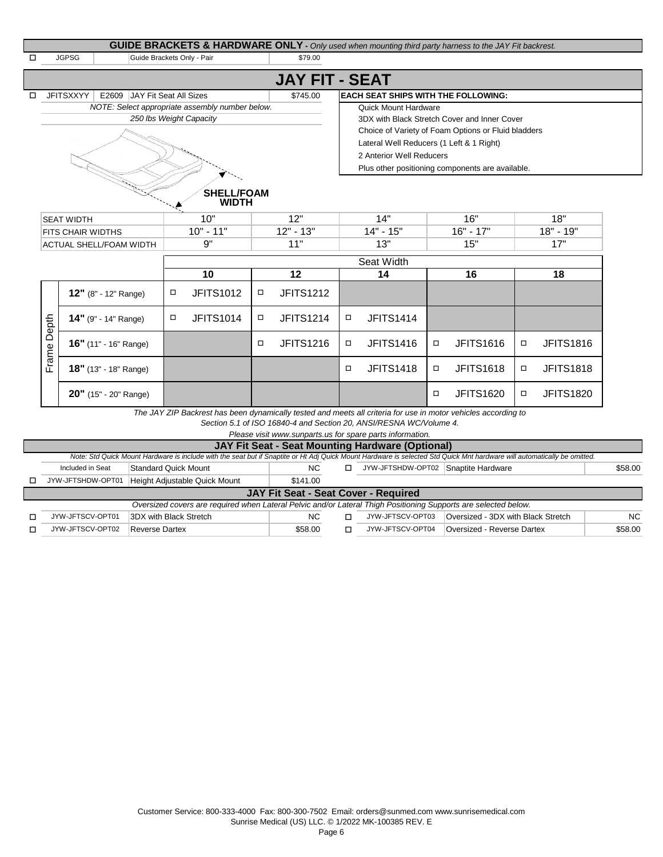|                                               |                                                                                                            |                                                 |                           |        |                       |                           |                                          |        | <b>GUIDE BRACKETS &amp; HARDWARE ONLY</b> - Only used when mounting third party harness to the JAY Fit backrest. |        |                  |
|-----------------------------------------------|------------------------------------------------------------------------------------------------------------|-------------------------------------------------|---------------------------|--------|-----------------------|---------------------------|------------------------------------------|--------|------------------------------------------------------------------------------------------------------------------|--------|------------------|
|                                               | <b>JGPSG</b><br>Guide Brackets Only - Pair                                                                 |                                                 |                           |        | \$79.00               |                           |                                          |        |                                                                                                                  |        |                  |
|                                               |                                                                                                            |                                                 |                           |        | <b>JAY FIT - SEAT</b> |                           |                                          |        |                                                                                                                  |        |                  |
|                                               | <b>JFITSXXYY</b><br>E2609 JAY Fit Seat All Sizes<br><b>EACH SEAT SHIPS WITH THE FOLLOWING:</b><br>\$745.00 |                                                 |                           |        |                       |                           |                                          |        |                                                                                                                  |        |                  |
|                                               |                                                                                                            | NOTE: Select appropriate assembly number below. |                           |        |                       |                           | <b>Quick Mount Hardware</b>              |        |                                                                                                                  |        |                  |
|                                               | 250 Ibs Weight Capacity                                                                                    |                                                 |                           |        |                       |                           |                                          |        | 3DX with Black Stretch Cover and Inner Cover                                                                     |        |                  |
|                                               |                                                                                                            |                                                 |                           |        |                       |                           |                                          |        | Choice of Variety of Foam Options or Fluid bladders                                                              |        |                  |
|                                               |                                                                                                            |                                                 |                           |        |                       |                           | Lateral Well Reducers (1 Left & 1 Right) |        |                                                                                                                  |        |                  |
|                                               |                                                                                                            |                                                 |                           |        |                       |                           | 2 Anterior Well Reducers                 |        |                                                                                                                  |        |                  |
|                                               |                                                                                                            |                                                 |                           |        |                       |                           |                                          |        | Plus other positioning components are available.                                                                 |        |                  |
| <b>SEAT WIDTH</b><br><b>FITS CHAIR WIDTHS</b> |                                                                                                            | 10"<br>$10" - 11"$<br>9"                        | 12"<br>$12" - 13"$<br>11" |        |                       | 14"<br>$14" - 15"$<br>13" | 16"<br>$16" - 17"$                       |        | 18"<br>$18" - 19"$<br>17"                                                                                        |        |                  |
|                                               | <b>ACTUAL SHELL/FOAM WIDTH</b>                                                                             |                                                 |                           |        |                       |                           |                                          | 15"    |                                                                                                                  |        |                  |
|                                               |                                                                                                            |                                                 |                           |        |                       |                           | Seat Width                               |        |                                                                                                                  |        |                  |
|                                               |                                                                                                            |                                                 | 10                        |        | 12                    |                           | 14                                       |        | 16                                                                                                               |        | 18               |
|                                               | 12" (8" - 12" Range)                                                                                       | $\Box$                                          | <b>JFITS1012</b>          | σ      | <b>JFITS1212</b>      |                           |                                          |        |                                                                                                                  |        |                  |
| Depth                                         | 14" (9" - 14" Range)                                                                                       | $\Box$                                          | <b>JFITS1014</b>          | $\Box$ | <b>JFITS1214</b>      | $\Box$                    | <b>JFITS1414</b>                         |        |                                                                                                                  |        |                  |
|                                               | 16" (11" - 16" Range)                                                                                      |                                                 |                           | $\Box$ | <b>JFITS1216</b>      | $\Box$                    | <b>JFITS1416</b>                         | $\Box$ | <b>JFITS1616</b>                                                                                                 | $\Box$ | <b>JFITS1816</b> |
|                                               |                                                                                                            |                                                 |                           |        |                       | $\Box$                    | <b>JFITS1418</b>                         | $\Box$ | <b>JFITS1618</b>                                                                                                 | $\Box$ | <b>JFITS1818</b> |
| Frame <sup>1</sup>                            | 18" (13" - 18" Range)                                                                                      |                                                 |                           |        |                       |                           |                                          |        |                                                                                                                  |        |                  |

*The JAY ZIP Backrest has been dynamically tested and meets all criteria for use in motor vehicles according to* 

*Section 5.1 of ISO 16840-4 and Section 20, ANSI/RESNA WC/Volume 4.*

| Please visit www.sunparts.us for spare parts information.                                                                                                                |                               |          |  |                                     |                                    |           |  |  |  |  |  |
|--------------------------------------------------------------------------------------------------------------------------------------------------------------------------|-------------------------------|----------|--|-------------------------------------|------------------------------------|-----------|--|--|--|--|--|
| <b>JAY Fit Seat - Seat Mounting Hardware (Optional)</b>                                                                                                                  |                               |          |  |                                     |                                    |           |  |  |  |  |  |
| Note: Std Quick Mount Hardware is include with the seat but if Snaptite or Ht Adj Quick Mount Hardware is selected Std Quick Mnt hardware will automatically be omitted. |                               |          |  |                                     |                                    |           |  |  |  |  |  |
| Included in Seat                                                                                                                                                         | Standard Quick Mount          |          |  | JYW-JFTSHDW-OPT02 Snaptite Hardware |                                    | \$58.00   |  |  |  |  |  |
| JYW-JFTSHDW-OPT01                                                                                                                                                        | Height Adjustable Quick Mount | \$141.00 |  |                                     |                                    |           |  |  |  |  |  |
| <b>JAY Fit Seat - Seat Cover - Required</b>                                                                                                                              |                               |          |  |                                     |                                    |           |  |  |  |  |  |
| Oversized covers are required when Lateral Pelvic and/or Lateral Thigh Positioning Supports are selected below.                                                          |                               |          |  |                                     |                                    |           |  |  |  |  |  |
| JYW-JFTSCV-OPT01                                                                                                                                                         | 3DX with Black Stretch        | NC.      |  | JYW-JFTSCV-OPT03                    | Oversized - 3DX with Black Stretch | <b>NC</b> |  |  |  |  |  |
| JYW-JFTSCV-OPT02                                                                                                                                                         | <b>Reverse Dartex</b>         | \$58.00  |  | JYW-JFTSCV-OPT04                    | Oversized - Reverse Dartex         | \$58.00   |  |  |  |  |  |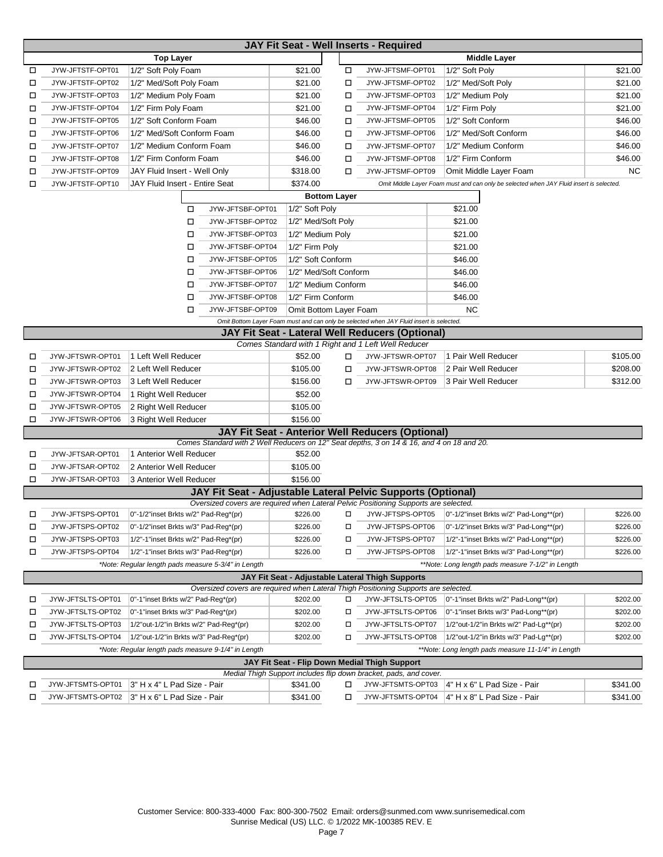|   | JAY Fit Seat - Well Inserts - Required             |                                                     |                  |                        |   |                                                                                                                                         |                                                                                         |           |  |  |  |  |
|---|----------------------------------------------------|-----------------------------------------------------|------------------|------------------------|---|-----------------------------------------------------------------------------------------------------------------------------------------|-----------------------------------------------------------------------------------------|-----------|--|--|--|--|
|   |                                                    | <b>Top Layer</b>                                    |                  |                        |   |                                                                                                                                         | <b>Middle Layer</b>                                                                     |           |  |  |  |  |
| □ | JYW-JFTSTF-OPT01                                   | 1/2" Soft Poly Foam                                 |                  | \$21.00                | □ | JYW-JFTSMF-OPT01                                                                                                                        | 1/2" Soft Poly                                                                          | \$21.00   |  |  |  |  |
| □ | JYW-JFTSTF-OPT02                                   | 1/2" Med/Soft Poly Foam                             |                  | \$21.00                | □ | JYW-JFTSMF-OPT02                                                                                                                        | 1/2" Med/Soft Poly                                                                      | \$21.00   |  |  |  |  |
| □ | JYW-JFTSTF-OPT03                                   | 1/2" Medium Poly Foam                               |                  | \$21.00                | □ | JYW-JFTSMF-OPT03                                                                                                                        | 1/2" Medium Poly                                                                        | \$21.00   |  |  |  |  |
| □ | JYW-JFTSTF-OPT04                                   | 1/2" Firm Poly Foam                                 |                  | \$21.00                | □ | JYW-JFTSMF-OPT04                                                                                                                        | 1/2" Firm Poly                                                                          | \$21.00   |  |  |  |  |
| □ | JYW-JFTSTF-OPT05                                   | 1/2" Soft Conform Foam                              |                  | \$46.00                | □ | JYW-JFTSMF-OPT05                                                                                                                        | 1/2" Soft Conform                                                                       | \$46.00   |  |  |  |  |
| □ | JYW-JFTSTF-OPT06                                   | 1/2" Med/Soft Conform Foam                          |                  | \$46.00                | □ | JYW-JFTSMF-OPT06                                                                                                                        | 1/2" Med/Soft Conform                                                                   | \$46.00   |  |  |  |  |
| □ | JYW-JFTSTF-OPT07                                   | 1/2" Medium Conform Foam                            |                  | \$46.00                | □ | JYW-JFTSMF-OPT07                                                                                                                        | 1/2" Medium Conform                                                                     | \$46.00   |  |  |  |  |
| □ | JYW-JFTSTF-OPT08                                   | 1/2" Firm Conform Foam                              |                  | \$46.00                | □ | JYW-JFTSMF-OPT08                                                                                                                        | 1/2" Firm Conform                                                                       | \$46.00   |  |  |  |  |
| □ | JYW-JFTSTF-OPT09                                   | JAY Fluid Insert - Well Only                        |                  | \$318.00               | □ | JYW-JFTSMF-OPT09                                                                                                                        | Omit Middle Layer Foam                                                                  | <b>NC</b> |  |  |  |  |
| □ | JYW-JFTSTF-OPT10                                   | JAY Fluid Insert - Entire Seat                      |                  | \$374.00               |   |                                                                                                                                         | Omit Middle Layer Foam must and can only be selected when JAY Fluid insert is selected. |           |  |  |  |  |
|   | <b>Bottom Layer</b>                                |                                                     |                  |                        |   |                                                                                                                                         |                                                                                         |           |  |  |  |  |
|   | \$21.00<br>JYW-JFTSBF-OPT01<br>1/2" Soft Poly<br>П |                                                     |                  |                        |   |                                                                                                                                         |                                                                                         |           |  |  |  |  |
|   |                                                    | □                                                   | JYW-JFTSBF-OPT02 | 1/2" Med/Soft Poly     |   |                                                                                                                                         | \$21.00                                                                                 |           |  |  |  |  |
|   |                                                    | □                                                   | JYW-JFTSBF-OPT03 | 1/2" Medium Poly       |   |                                                                                                                                         | \$21.00                                                                                 |           |  |  |  |  |
|   |                                                    | □                                                   | JYW-JFTSBF-OPT04 | 1/2" Firm Poly         |   |                                                                                                                                         | \$21.00                                                                                 |           |  |  |  |  |
|   |                                                    | □                                                   | JYW-JFTSBF-OPT05 | 1/2" Soft Conform      |   |                                                                                                                                         | \$46.00                                                                                 |           |  |  |  |  |
|   |                                                    | □                                                   | JYW-JFTSBF-OPT06 | 1/2" Med/Soft Conform  |   |                                                                                                                                         | \$46.00                                                                                 |           |  |  |  |  |
|   |                                                    | □                                                   | JYW-JFTSBF-OPT07 | 1/2" Medium Conform    |   |                                                                                                                                         | \$46.00                                                                                 |           |  |  |  |  |
|   |                                                    | □                                                   | JYW-JFTSBF-OPT08 | 1/2" Firm Conform      |   |                                                                                                                                         | \$46.00                                                                                 |           |  |  |  |  |
|   |                                                    | □                                                   | JYW-JFTSBF-OPT09 | Omit Bottom Layer Foam |   |                                                                                                                                         | <b>NC</b>                                                                               |           |  |  |  |  |
|   |                                                    |                                                     |                  |                        |   | Omit Bottom Layer Foam must and can only be selected when JAY Fluid insert is selected.                                                 |                                                                                         |           |  |  |  |  |
|   |                                                    |                                                     |                  |                        |   | <b>JAY Fit Seat - Lateral Well Reducers (Optional)</b>                                                                                  |                                                                                         |           |  |  |  |  |
|   |                                                    |                                                     |                  |                        |   | Comes Standard with 1 Right and 1 Left Well Reducer                                                                                     |                                                                                         |           |  |  |  |  |
| □ | JYW-JFTSWR-OPT01                                   | 1 Left Well Reducer                                 |                  | \$52.00                | □ | JYW-JFTSWR-OPT07                                                                                                                        | 1 Pair Well Reducer                                                                     | \$105.00  |  |  |  |  |
| □ | JYW-JFTSWR-OPT02                                   | 2 Left Well Reducer                                 |                  | \$105.00               | □ | JYW-JFTSWR-OPT08                                                                                                                        | 2 Pair Well Reducer                                                                     | \$208.00  |  |  |  |  |
| □ | JYW-JFTSWR-OPT03                                   | 3 Left Well Reducer                                 |                  | \$156.00               | □ | JYW-JFTSWR-OPT09                                                                                                                        | 3 Pair Well Reducer                                                                     | \$312.00  |  |  |  |  |
| □ | JYW-JFTSWR-OPT04                                   | 1 Right Well Reducer                                |                  | \$52.00                |   |                                                                                                                                         |                                                                                         |           |  |  |  |  |
| □ | JYW-JFTSWR-OPT05                                   | 2 Right Well Reducer                                |                  |                        |   |                                                                                                                                         |                                                                                         |           |  |  |  |  |
| □ | JYW-JFTSWR-OPT06                                   | 3 Right Well Reducer                                |                  | \$156.00               |   |                                                                                                                                         |                                                                                         |           |  |  |  |  |
|   |                                                    |                                                     |                  |                        |   | JAY Fit Seat - Anterior Well Reducers (Optional)                                                                                        |                                                                                         |           |  |  |  |  |
|   |                                                    |                                                     |                  |                        |   | Comes Standard with 2 Well Reducers on 12" Seat depths, 3 on 14 & 16, and 4 on 18 and 20.                                               |                                                                                         |           |  |  |  |  |
| □ | JYW-JFTSAR-OPT01                                   | 1 Anterior Well Reducer                             |                  | \$52.00                |   |                                                                                                                                         |                                                                                         |           |  |  |  |  |
| □ | JYW-JFTSAR-OPT02                                   | 2 Anterior Well Reducer                             |                  | \$105.00               |   |                                                                                                                                         |                                                                                         |           |  |  |  |  |
| □ | JYW-JFTSAR-OPT03                                   | 3 Anterior Well Reducer                             |                  | \$156.00               |   |                                                                                                                                         |                                                                                         |           |  |  |  |  |
|   |                                                    |                                                     |                  |                        |   | JAY Fit Seat - Adjustable Lateral Pelvic Supports (Optional)                                                                            |                                                                                         |           |  |  |  |  |
|   | JYW-JFTSPS-OPT01                                   |                                                     |                  |                        |   | Oversized covers are required when Lateral Pelvic Positioning Supports are selected.                                                    |                                                                                         |           |  |  |  |  |
| □ |                                                    | 0"-1/2"inset Brkts w/2" Pad-Reg*(pr)                |                  | \$226.00               | □ |                                                                                                                                         | JYW-JFTSPS-OPT05   0"-1/2"inset Brkts w/2" Pad-Long**(pr)                               | \$226.00  |  |  |  |  |
| □ | JYW-JFTSPS-OPT02                                   | 0"-1/2"inset Brkts w/3" Pad-Reg*(pr)                |                  | \$226.00               | □ | JYW-JFTSPS-OPT06                                                                                                                        | 0"-1/2"inset Brkts w/3" Pad-Long**(pr)                                                  | \$226.00  |  |  |  |  |
| □ | JYW-JFTSPS-OPT03                                   | 1/2"-1"inset Brkts w/2" Pad-Reg*(pr)                |                  | \$226.00               | □ | JYW-JFTSPS-OPT07                                                                                                                        | 1/2"-1"inset Brkts w/2" Pad-Long**(pr)                                                  | \$226.00  |  |  |  |  |
| □ | JYW-JFTSPS-OPT04                                   | 1/2"-1"inset Brkts w/3" Pad-Reg*(pr)                |                  | \$226.00               | □ | JYW-JFTSPS-OPT08                                                                                                                        | 1/2"-1"inset Brkts w/3" Pad-Long**(pr)                                                  | \$226.00  |  |  |  |  |
|   |                                                    | *Note: Regular length pads measure 5-3/4" in Length |                  |                        |   |                                                                                                                                         | **Note: Long length pads measure 7-1/2" in Length                                       |           |  |  |  |  |
|   |                                                    |                                                     |                  |                        |   | JAY Fit Seat - Adjustable Lateral Thigh Supports<br>Oversized covers are required when Lateral Thigh Positioning Supports are selected. |                                                                                         |           |  |  |  |  |
| ◻ | JYW-JFTSLTS-OPT01                                  | 0"-1"inset Brkts w/2" Pad-Reg*(pr)                  |                  | \$202.00               | □ | JYW-JFTSLTS-OPT05                                                                                                                       | 0"-1"inset Brkts w/2" Pad-Long**(pr)                                                    | \$202.00  |  |  |  |  |
| □ | JYW-JFTSLTS-OPT02                                  | 0"-1"inset Brkts w/3" Pad-Reg*(pr)                  |                  | \$202.00               | Д | JYW-JFTSLTS-OPT06                                                                                                                       | 0"-1"inset Brkts w/3" Pad-Long**(pr)                                                    | \$202.00  |  |  |  |  |
| □ | JYW-JFTSLTS-OPT03                                  | 1/2"out-1/2"in Brkts w/2" Pad-Reg*(pr)              |                  | \$202.00               | Д | JYW-JFTSLTS-OPT07                                                                                                                       | 1/2"out-1/2"in Brkts w/2" Pad-Lg**(pr)                                                  | \$202.00  |  |  |  |  |
| □ | JYW-JFTSLTS-OPT04                                  | 1/2"out-1/2"in Brkts w/3" Pad-Reg*(pr)              |                  | \$202.00               | □ | JYW-JFTSLTS-OPT08                                                                                                                       | 1/2"out-1/2"in Brkts w/3" Pad-Lg**(pr)                                                  | \$202.00  |  |  |  |  |
|   |                                                    | *Note: Regular length pads measure 9-1/4" in Length |                  |                        |   |                                                                                                                                         | **Note: Long length pads measure 11-1/4" in Length                                      |           |  |  |  |  |
|   |                                                    |                                                     |                  |                        |   | JAY Fit Seat - Flip Down Medial Thigh Support                                                                                           |                                                                                         |           |  |  |  |  |
|   |                                                    |                                                     |                  |                        |   | Medial Thigh Support includes flip down bracket, pads, and cover.                                                                       |                                                                                         |           |  |  |  |  |
| □ | JYW-JFTSMTS-OPT01                                  | 3" H x 4" L Pad Size - Pair                         |                  | \$341.00               | □ | JYW-JFTSMTS-OPT03                                                                                                                       | 4" H x 6" L Pad Size - Pair                                                             | \$341.00  |  |  |  |  |
| □ |                                                    | JYW-JFTSMTS-OPT02 3" H x 6" L Pad Size - Pair       |                  | \$341.00               | □ | JYW-JFTSMTS-OPT04                                                                                                                       | 4" H x 8" L Pad Size - Pair                                                             | \$341.00  |  |  |  |  |